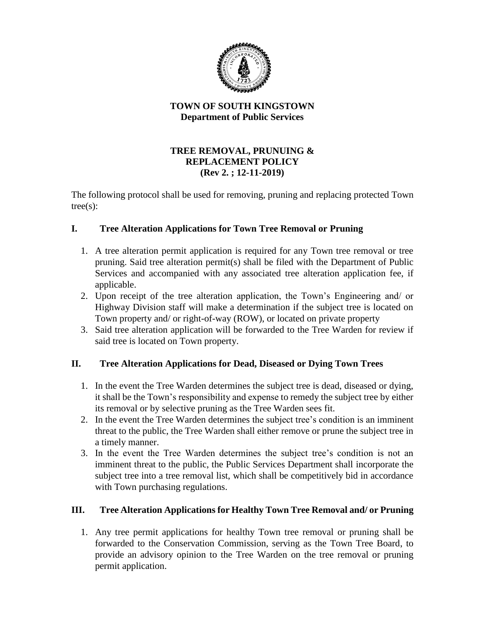

#### **TOWN OF SOUTH KINGSTOWN Department of Public Services**

### **TREE REMOVAL, PRUNUING & REPLACEMENT POLICY (Rev 2. ; 12-11-2019)**

The following protocol shall be used for removing, pruning and replacing protected Town tree(s):

# **I. Tree Alteration Applications for Town Tree Removal or Pruning**

- 1. A tree alteration permit application is required for any Town tree removal or tree pruning. Said tree alteration permit(s) shall be filed with the Department of Public Services and accompanied with any associated tree alteration application fee, if applicable.
- 2. Upon receipt of the tree alteration application, the Town's Engineering and/ or Highway Division staff will make a determination if the subject tree is located on Town property and/ or right-of-way (ROW), or located on private property
- 3. Said tree alteration application will be forwarded to the Tree Warden for review if said tree is located on Town property.

## **II. Tree Alteration Applications for Dead, Diseased or Dying Town Trees**

- 1. In the event the Tree Warden determines the subject tree is dead, diseased or dying, it shall be the Town's responsibility and expense to remedy the subject tree by either its removal or by selective pruning as the Tree Warden sees fit.
- 2. In the event the Tree Warden determines the subject tree's condition is an imminent threat to the public, the Tree Warden shall either remove or prune the subject tree in a timely manner.
- 3. In the event the Tree Warden determines the subject tree's condition is not an imminent threat to the public, the Public Services Department shall incorporate the subject tree into a tree removal list, which shall be competitively bid in accordance with Town purchasing regulations.

## **III. Tree Alteration Applications for Healthy Town Tree Removal and/ or Pruning**

1. Any tree permit applications for healthy Town tree removal or pruning shall be forwarded to the Conservation Commission, serving as the Town Tree Board, to provide an advisory opinion to the Tree Warden on the tree removal or pruning permit application.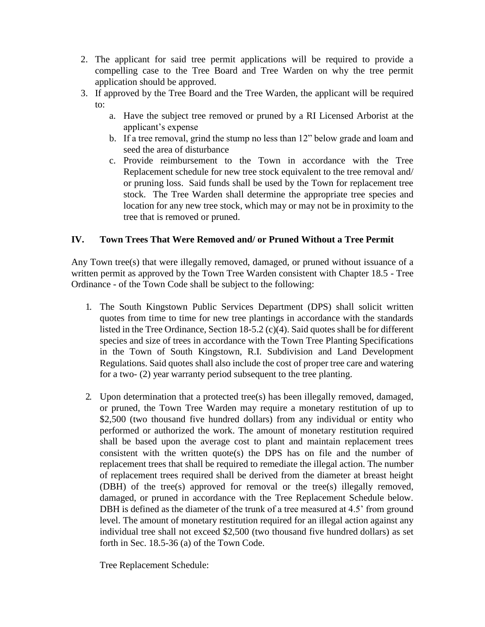- 2. The applicant for said tree permit applications will be required to provide a compelling case to the Tree Board and Tree Warden on why the tree permit application should be approved.
- 3. If approved by the Tree Board and the Tree Warden, the applicant will be required to:
	- a. Have the subject tree removed or pruned by a RI Licensed Arborist at the applicant's expense
	- b. If a tree removal, grind the stump no less than 12" below grade and loam and seed the area of disturbance
	- c. Provide reimbursement to the Town in accordance with the Tree Replacement schedule for new tree stock equivalent to the tree removal and/ or pruning loss. Said funds shall be used by the Town for replacement tree stock. The Tree Warden shall determine the appropriate tree species and location for any new tree stock, which may or may not be in proximity to the tree that is removed or pruned.

### **IV. Town Trees That Were Removed and/ or Pruned Without a Tree Permit**

Any Town tree(s) that were illegally removed, damaged, or pruned without issuance of a written permit as approved by the Town Tree Warden consistent with Chapter 18.5 - Tree Ordinance - of the Town Code shall be subject to the following:

- 1. The South Kingstown Public Services Department (DPS) shall solicit written quotes from time to time for new tree plantings in accordance with the standards listed in the Tree Ordinance, Section 18-5.2 (c)(4). Said quotes shall be for different species and size of trees in accordance with the Town Tree Planting Specifications in the Town of South Kingstown, R.I. Subdivision and Land Development Regulations. Said quotes shall also include the cost of proper tree care and watering for a two- (2) year warranty period subsequent to the tree planting.
- 2. Upon determination that a protected tree(s) has been illegally removed, damaged, or pruned, the Town Tree Warden may require a monetary restitution of up to \$2,500 (two thousand five hundred dollars) from any individual or entity who performed or authorized the work. The amount of monetary restitution required shall be based upon the average cost to plant and maintain replacement trees consistent with the written quote(s) the DPS has on file and the number of replacement trees that shall be required to remediate the illegal action. The number of replacement trees required shall be derived from the diameter at breast height (DBH) of the tree(s) approved for removal or the tree(s) illegally removed, damaged, or pruned in accordance with the Tree Replacement Schedule below. DBH is defined as the diameter of the trunk of a tree measured at 4.5' from ground level. The amount of monetary restitution required for an illegal action against any individual tree shall not exceed \$2,500 (two thousand five hundred dollars) as set forth in Sec. 18.5-36 (a) of the Town Code.

Tree Replacement Schedule: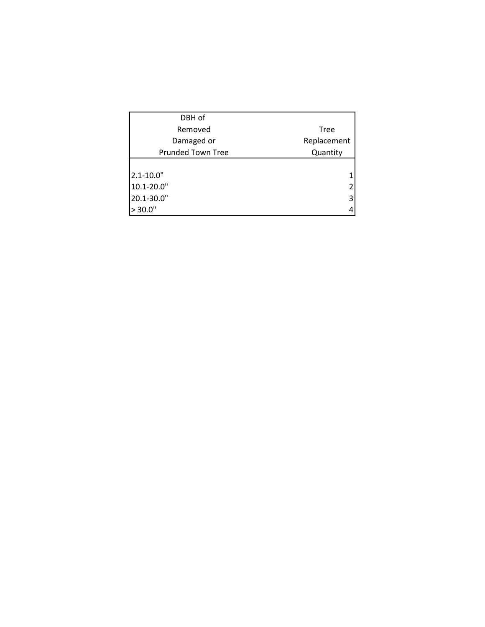| DBH of                   |             |
|--------------------------|-------------|
| Removed                  | <b>Tree</b> |
| Damaged or               | Replacement |
| <b>Prunded Town Tree</b> | Quantity    |
|                          |             |
| $2.1 - 10.0"$            |             |
| 10.1-20.0"               | 2           |
| 20.1-30.0"               | 3           |
| > 30.0"                  | 4           |